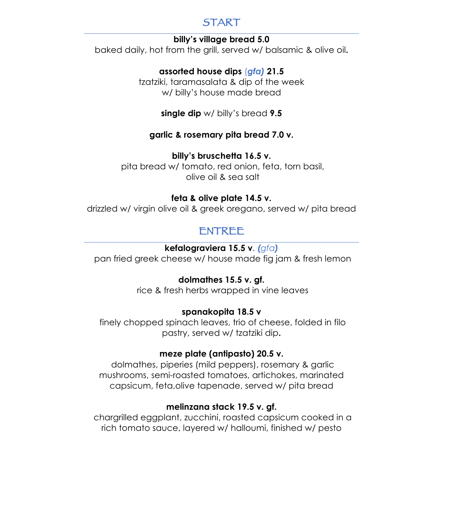# START

#### **billy's village bread 5.0**

baked daily, hot from the grill, served w/ balsamic & olive oil**.**

## **assorted house dips** (*gfa)* **21.5**

tzatziki, taramasalata & dip of the week w/ billy's house made bread

**single dip** w/ billy's bread **9.5**

#### **garlic & rosemary pita bread 7.0 v.**

#### **billy's bruschetta 16.5 v.**

pita bread w/ tomato, red onion, feta, torn basil, olive oil & sea salt

#### **feta & olive plate 14.5 v.**

drizzled w/ virgin olive oil & greek oregano, served w/ pita bread

# ENTREE

## **kefalograviera 15.5 v.** *(gfa)*

pan fried greek cheese w/ house made fig jam & fresh lemon

## **dolmathes 15.5 v. gf.**

rice & fresh herbs wrapped in vine leaves

## **spanakopita 18.5 v**

finely chopped spinach leaves, trio of cheese, folded in filo pastry, served w/ tzatziki dip**.**

## **meze plate (antipasto) 20.5 v.**

dolmathes, piperies (mild peppers), rosemary & garlic mushrooms, semi-roasted tomatoes, artichokes, marinated capsicum, feta,olive tapenade, served w/ pita bread

## **melinzana stack 19.5 v. gf.**

chargrilled eggplant, zucchini, roasted capsicum cooked in a rich tomato sauce, layered w/ halloumi, finished w/ pesto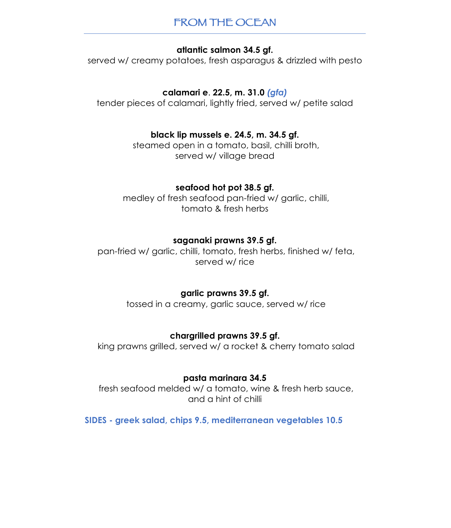# FROM THE OCEAN

#### **atlantic salmon 34.5 gf.**

served w/ creamy potatoes, fresh asparagus & drizzled with pesto

#### **calamari e**. **22.5, m. 31.0** *(gfa)*

tender pieces of calamari, lightly fried, served w/ petite salad

#### **black lip mussels e. 24.5, m. 34.5 gf.**

steamed open in a tomato, basil, chilli broth, served w/ village bread

#### **seafood hot pot 38.5 gf.**

medley of fresh seafood pan-fried w/ garlic, chilli, tomato & fresh herbs

#### **saganaki prawns 39.5 gf.**

pan-fried w/ garlic, chilli, tomato, fresh herbs, finished w/ feta, served w/ rice

#### **garlic prawns 39.5 gf.**

tossed in a creamy, garlic sauce, served w/ rice

#### **chargrilled prawns 39.5 gf.**

king prawns grilled, served w/ a rocket & cherry tomato salad

#### **pasta marinara 34.5**

fresh seafood melded w/ a tomato, wine & fresh herb sauce, and a hint of chilli

**SIDES - greek salad, chips 9.5, mediterranean vegetables 10.5**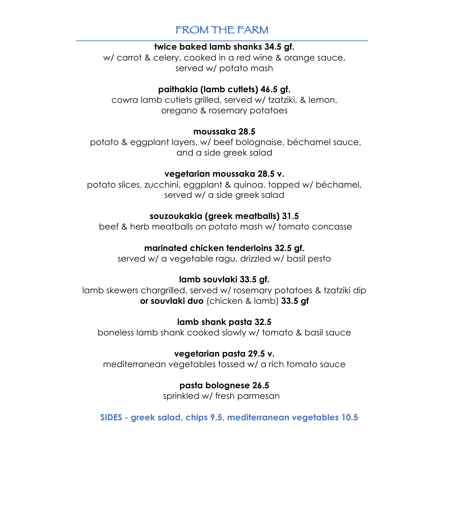# FROM THE FARM

#### **twice baked lamb shanks 34.5 gf.**

w/ carrot & celery, cooked in a red wine & orange sauce, served w/ potato mash

#### **paithakia (lamb cutlets) 46.5 gf.**

cowra lamb cutlets grilled, served w/ tzatziki, & lemon, oregano & rosemary potatoes

#### **moussaka 28.5**

potato & eggplant layers, w/ beef bolognaise, béchamel sauce, and a side greek salad

#### **vegetarian moussaka 28.5 v.**

potato slices, zucchini, eggplant & quinoa, topped w/ béchamel, served w/ a side areek salad

## **souzoukakia (greek meatballs) 31.5**

beef & herb meatballs on potato mash w/ tomato concasse

## **marinated chicken tenderloins 32.5 gf.**

served w/ a vegetable ragu, drizzled w/ basil pesto

# **lamb souvlaki 33.5 gf.**

lamb skewers chargrilled, served w/ rosemary potatoes & tzatziki dip **or souvlaki duo** (chicken & lamb) **33.5 gf**

## **lamb shank pasta 32.5**

boneless lamb shank cooked slowly w/ tomato & basil sauce

## **vegetarian pasta 29.5 v.**

mediterranean vegetables tossed w/ a rich tomato sauce

## **pasta bolognese 26.5**

sprinkled w/ fresh parmesan

**SIDES - greek salad, chips 9.5, mediterranean vegetables 10.5**